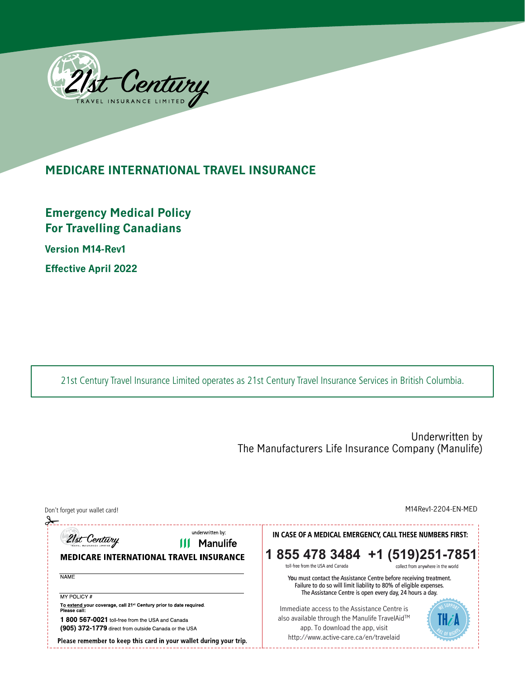

## **MEDICARE INTERNATIONAL TRAVEL INSURANCE**

## **Emergency Medical Policy For Travelling Canadians**

**Version M14-Rev1 Effective April 2022**

21st Century Travel Insurance Limited operates as 21st Century Travel Insurance Services in British Columbia.

Underwritten by The Manufacturers Life Insurance Company (Manulife)

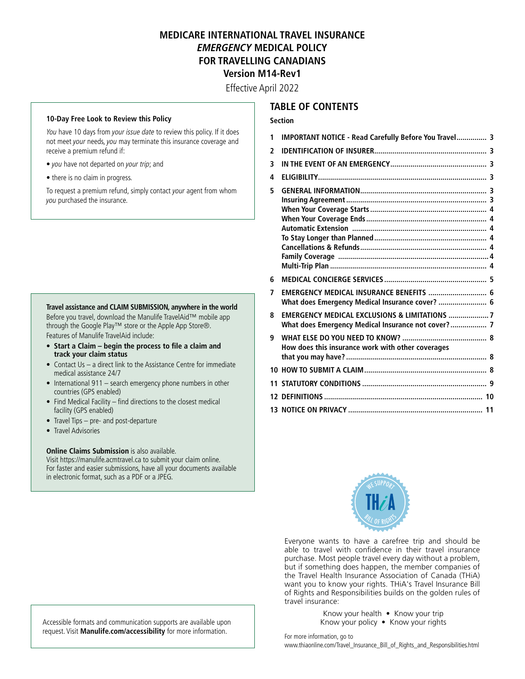### **MEDICARE INTERNATIONAL TRAVEL INSURANCE EMERGENCY MEDICAL POLICY FOR TRAVELLING CANADIANS Version M14-Rev1**

Effective April 2022

#### **10-Day Free Look to Review this Policy**

You have 10 days from your issue date to review this policy. If it does not meet your needs, you may terminate this insurance coverage and receive a premium refund if:

- you have not departed on your trip; and
- there is no claim in progress.

To request a premium refund, simply contact your agent from whom you purchased the insurance.

**Travel assistance and CLAIM SUBMISSION, anywhere in the world**  Before you travel, download the Manulife TravelAid™ mobile app through the Google Play™ store or the Apple App Store®. Features of Manulife TravelAid include:

- **Start a Claim begin the process to fle a claim and track your claim status**
- Contact Us a direct link to the Assistance Centre for immediate medical assistance 24/7
- International 911 search emergency phone numbers in other countries (GPS enabled)
- Find Medical Facility find directions to the closest medical facility (GPS enabled)
- Travel Tips pre- and post-departure
- Travel Advisories

#### **Online Claims Submission** is also available.

**Online Claims Submission** is also available.<br>Visit<https://manulife.acmtravel.ca>to submit your claim online. For faster and easier submissions, have all your documents available in electronic format, such as a PDF or a JPEG.

#### **TABLE OF CONTENTS**

#### **Section**

| 1  | <b>IMPORTANT NOTICE - Read Carefully Before You Travel 3</b>                               |    |
|----|--------------------------------------------------------------------------------------------|----|
| 2  |                                                                                            |    |
| 3  |                                                                                            |    |
| 4  |                                                                                            |    |
| 5  |                                                                                            |    |
| 6  |                                                                                            |    |
| 7  | EMERGENCY MEDICAL INSURANCE BENEFITS  6<br>What does Emergency Medical Insurance cover?  6 |    |
| 8  | What does Emergency Medical Insurance not cover? 7                                         |    |
| q  | How does this insurance work with other coverages                                          |    |
| 10 |                                                                                            |    |
|    |                                                                                            |    |
|    |                                                                                            |    |
|    |                                                                                            | 11 |



Everyone wants to have a carefree trip and should be able to travel with confidence in their travel insurance purchase. Most people travel every day without a problem, but if something does happen, the member companies of the Travel Health Insurance Association of Canada (THiA) want you to know your rights. THiA's Travel Insurance Bill of Rights and Responsibilities builds on the golden rules of travel insurance:

> Know your health • Know your trip Know your policy • Know your rights

Accessible formats and communication supports are available upon request. Visit **[Manulife.com/accessibility](https://Manulife.com/accessibility)** for more information.

For more information, go to [www.thiaonline.com/Travel\\_Insurance\\_Bill\\_of\\_Rights\\_and\\_Responsibilities.html](www.thiaonline.com/Travel_Insurance_Bill_of_Rights_and_Responsibilities.html)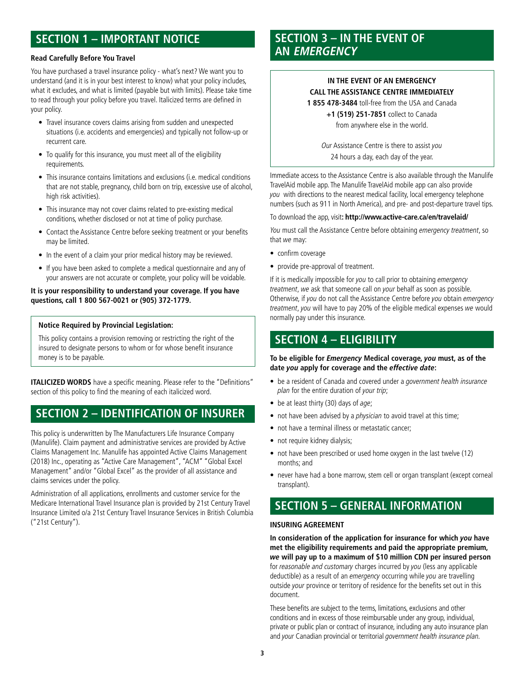## **SECTION 1 – IMPORTANT NOTICE SECTION 3 – IN THE EVENT OF**

You have purchased a travel insurance policy - what's next? We want you to understand (and it is in your best interest to know) what your policy includes, what it excludes, and what is limited (payable but with limits). Please take time to read through your policy before you travel. Italicized terms are defned in your policy.

- Travel insurance covers claims arising from sudden and unexpected situations (i.e. accidents and emergencies) and typically not follow-up or recurrent care.
- To qualify for this insurance, you must meet all of the eligibility requirements.
- This insurance contains limitations and exclusions (i.e. medical conditions that are not stable, pregnancy, child born on trip, excessive use of alcohol, high risk activities).
- This insurance may not cover claims related to pre-existing medical conditions, whether disclosed or not at time of policy purchase.
- Contact the Assistance Centre before seeking treatment or your benefits may be limited.
- In the event of a claim your prior medical history may be reviewed.
- If you have been asked to complete a medical questionnaire and any of your answers are not accurate or complete, your policy will be voidable.

#### **It is your responsibility to understand your coverage. If you have questions, call 1 800 567-0021 or (905) 372-1779.**

#### **Notice Required by Provincial Legislation:**

This policy contains a provision removing or restricting the right of the insured to designate persons to whom or for whose benefit insurance money is to be payable.

**ITALICIZED WORDS** have a specific meaning. Please refer to the "Definitions" section of this policy to find the meaning of each italicized word.

## **SECTION 2 – IDENTIFICATION OF INSURER**

 (2018) Inc., operating as "Active Care Management", "ACM" "Global Excel This policy is underwritten by The Manufacturers Life Insurance Company (Manulife). Claim payment and administrative services are provided by Active Claims Management Inc. Manulife has appointed Active Claims Management Management" and/or "Global Excel" as the provider of all assistance and claims services under the policy.

Administration of all applications, enrollments and customer service for the Medicare International Travel Insurance plan is provided by 21st Century Travel Insurance Limited o/a 21st Century Travel Insurance Services in British Columbia ("21st Century").

## **AN EMERGENCY Read Carefully Before You Travel**

#### **IN THE EVENT OF AN EMERGENCY CALL THE ASSISTANCE CENTRE IMMEDIATELY**

**1 855 478-3484** toll-free from the USA and Canada

**+1 (519) 251-7851** collect to Canada from anywhere else in the world.

Our Assistance Centre is there to assist you 24 hours a day, each day of the year.

Immediate access to the Assistance Centre is also available through the Manulife TravelAid mobile app. The Manulife TravelAid mobile app can also provide you with directions to the nearest medical facility, local emergency telephone numbers (such as 911 in North America), and pre- and post-departure travel tips.

#### To download the app, visit**: [http://www.active-care.ca/en/travelaid/](http://www.active-care.ca/en/travelaid)**

You must call the Assistance Centre before obtaining emergency treatment, so that we may:

- confirm coverage
- provide pre-approval of treatment.

If it is medically impossible for you to call prior to obtaining emergency treatment, we ask that someone call on your behalf as soon as possible. Otherwise, if you do not call the Assistance Centre before you obtain emergency treatment, you will have to pay 20% of the eligible medical expenses we would normally pay under this insurance.

## **SECTION 4 – ELIGIBILITY**

#### **To be eligible for Emergency Medical coverage, you must, as of the date you apply for coverage and the effective date:**

- be a resident of Canada and covered under a government health insurance plan for the entire duration of your trip;
- be at least thirty (30) days of age;
- not have been advised by a *physician* to avoid travel at this time;
- not have a terminal illness or metastatic cancer;
- not require kidney dialysis;
- not have been prescribed or used home oxygen in the last twelve (12) months; and
- never have had a bone marrow, stem cell or organ transplant (except corneal transplant).

## **SECTION 5 – GENERAL INFORMATION**

#### **INSURING AGREEMENT**

**In consideration of the application for insurance for which you have met the eligibility requirements and paid the appropriate premium, we will pay up to a maximum of \$10 million CDN per insured person**  for reasonable and customary charges incurred by you (less any applicable deductible) as a result of an emergency occurring while you are travelling outside your province or territory of residence for the benefits set out in this document.

These benefits are subject to the terms, limitations, exclusions and other conditions and in excess of those reimbursable under any group, individual, private or public plan or contract of insurance, including any auto insurance plan and your Canadian provincial or territorial government health insurance plan.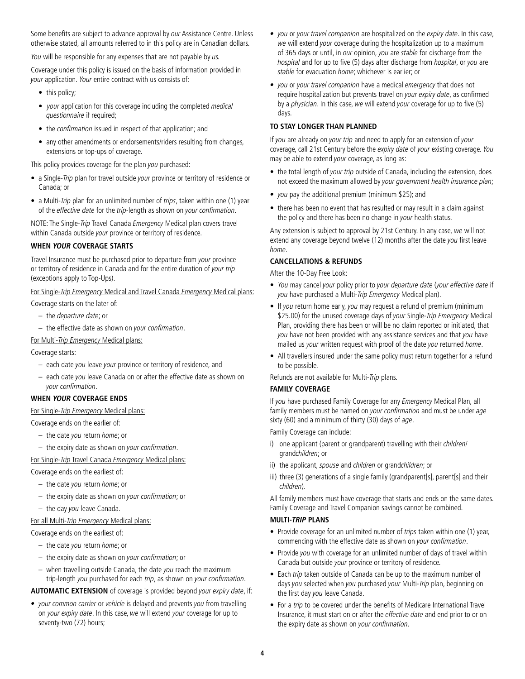Some benefits are subject to advance approval by our Assistance Centre. Unless otherwise stated, all amounts referred to in this policy are in Canadian dollars.

You will be responsible for any expenses that are not payable by us.

Coverage under this policy is issued on the basis of information provided in your application. Your entire contract with us consists of:

- this policy;
- *your* application for this coverage including the completed *medical* questionnaire if required;
- the *confirmation* issued in respect of that application; and
- any other amendments or endorsements/riders resulting from changes, extensions or top-ups of coverage.

This policy provides coverage for the plan you purchased:

- a Single-Trip plan for travel outside your province or territory of residence or Canada; or
- a Multi-*Trip* plan for an unlimited number of *trips*, taken within one (1) year of the *effective date* for the *trip*-length as shown on your confirmation.

NOTE: The Single-Trip Travel Canada Emergency Medical plan covers travel within Canada outside your province or territory of residence.

#### **WHEN YOUR COVERAGE STARTS**

Travel Insurance must be purchased prior to departure from your province or territory of residence in Canada and for the entire duration of your trip (exceptions apply to Top-Ups).

#### For Single-Trip Emergency Medical and Travel Canada Emergency Medical plans:

Coverage starts on the later of:

- the departure date; or
- the effective date as shown on your confrmation.

#### For Multi-Trip Emergency Medical plans:

Coverage starts:

- each date you leave your province or territory of residence, and
- each date you leave Canada on or after the effective date as shown on your confirmation.

#### **WHEN YOUR COVERAGE ENDS**

#### For Single-Trip Emergency Medical plans:

Coverage ends on the earlier of:

- the date you return home; or
- the expiry date as shown on your confrmation.

For Single-Trip Travel Canada Emergency Medical plans:

Coverage ends on the earliest of:

- the date you return home; or
- the expiry date as shown on your confrmation; or
- the day you leave Canada.

#### For all Multi-Trip Emergency Medical plans:

Coverage ends on the earliest of:

- the date you return home; or
- the expiry date as shown on your confrmation; or
- when travelling outside Canada, the date you reach the maximum trip-length you purchased for each trip, as shown on your confirmation.

#### **AUTOMATIC EXTENSION** of coverage is provided beyond your expiry date, if:

• *your common carrier* or vehicle is delayed and prevents you from travelling on your expiry date. In this case, we will extend your coverage for up to seventy-two (72) hours;

- you or your travel companion are hospitalized on the expiry date. In this case, we will extend your coverage during the hospitalization up to a maximum of 365 days or until, in our opinion, you are stable for discharge from the hospital and for up to five (5) days after discharge from hospital, or you are stable for evacuation home; whichever is earlier; or
- you or your travel companion have a medical emergency that does not require hospitalization but prevents travel on your expiry date, as confirmed by a *physician*. In this case, we will extend your coverage for up to five (5) days.

#### **TO STAY LONGER THAN PLANNED**

coverage, call 21st Century before the expiry date of your existing coverage. You If you are already on your trip and need to apply for an extension of your may be able to extend your coverage, as long as:

- the total length of your trip outside of Canada, including the extension, does not exceed the maximum allowed by your government health insurance plan;
- you pay the additional premium (minimum \$25); and
- there has been no event that has resulted or may result in a claim against the policy and there has been no change in your health status.

Any extension is subject to approval by 21st Century. In any case, we will not extend any coverage beyond twelve (12) months after the date you first leave home.

#### **CANCELLATIONS & REFUNDS**

After the 10-Day Free Look:

- You may cancel your policy prior to your departure date (your effective date if you have purchased a Multi-Trip Emergency Medical plan).
- If you return home early, you may request a refund of premium (minimum \$25.00) for the unused coverage days of your Single-Trip Emergency Medical Plan, providing there has been or will be no claim reported or initiated, that you have not been provided with any assistance services and that you have mailed us your written request with proof of the date you returned home.
- All travellers insured under the same policy must return together for a refund to be possible.

Refunds are not available for Multi-Trip plans.

#### **FAMILY COVERAGE**

If you have purchased Family Coverage for any Emergency Medical Plan, all family members must be named on your confirmation and must be under age sixty (60) and a minimum of thirty (30) days of age.

Family Coverage can include:

- i) one applicant (parent or grandparent) travelling with their *children!* grandchildren; or
- ii) the applicant, spouse and children or grandchildren; or
- iii) three (3) generations of a single family (grandparent[s], parent[s] and their children).

All family members must have coverage that starts and ends on the same dates. Family Coverage and Travel Companion savings cannot be combined.

#### **MULTI-TRIP PLANS**

- Provide coverage for an unlimited number of *trips* taken within one (1) year, commencing with the effective date as shown on your confirmation.
- Provide you with coverage for an unlimited number of days of travel within Canada but outside your province or territory of residence.
- Each trip taken outside of Canada can be up to the maximum number of days you selected when you purchased your Multi-Trip plan, beginning on the first day you leave Canada.
- For a trip to be covered under the benefits of Medicare International Travel Insurance, it must start on or after the effective date and end prior to or on the expiry date as shown on your confirmation.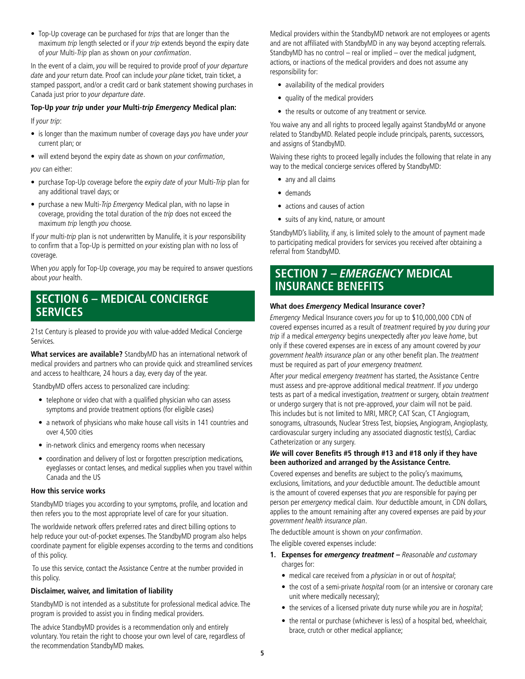• Top-Up coverage can be purchased for *trips* that are longer than the maximum trip length selected or if your trip extends beyond the expiry date of your Multi-Trip plan as shown on your confirmation.

In the event of a claim, you will be required to provide proof of your departure Canada just prior to your departure date. date and your return date. Proof can include your plane ticket, train ticket, a stamped passport, and/or a credit card or bank statement showing purchases in

#### **Top-Up your trip under your Multi-trip Emergency Medical plan:**

If your trip:

- is longer than the maximum number of coverage days you have under your current plan; or
- will extend beyond the expiry date as shown on your confirmation,

you can either:

- purchase Top-Up coverage before the expiry date of your Multi-Trip plan for any additional travel days; or
- purchase a new Multi-Trip Emergency Medical plan, with no lapse in coverage, providing the total duration of the trip does not exceed the maximum trip length you choose.

If your multi-trip plan is not underwritten by Manulife, it is your responsibility to confirm that a Top-Up is permitted on your existing plan with no loss of coverage.

When you apply for Top-Up coverage, you may be required to answer questions about your health.

## **SECTION 6 – MEDICAL CONCIERGE SERVICES**

21st Century is pleased to provide you with value-added Medical Concierge Services.

**What services are available?** StandbyMD has an international network of medical providers and partners who can provide quick and streamlined services and access to healthcare, 24 hours a day, every day of the year.

StandbyMD offers access to personalized care including:

- telephone or video chat with a qualifed physician who can assess symptoms and provide treatment options (for eligible cases)
- a network of physicians who make house call visits in 141 countries and over 4,500 cities
- in-network clinics and emergency rooms when necessary
- coordination and delivery of lost or forgotten prescription medications, eyeglasses or contact lenses, and medical supplies when you travel within Canada and the US

#### **How this service works**

StandbyMD triages you according to your symptoms, profle, and location and then refers you to the most appropriate level of care for your situation.

of this policy. The worldwide network offers preferred rates and direct billing options to help reduce your out-of-pocket expenses. The StandbyMD program also helps coordinate payment for eligible expenses according to the terms and conditions

To use this service, contact the Assistance Centre at the number provided in this policy.

#### **Disclaimer, waiver, and limitation of liability**

program is provided to assist you in finding medical providers. StandbyMD is not intended as a substitute for professional medical advice. The

The advice StandbyMD provides is a recommendation only and entirely voluntary. You retain the right to choose your own level of care, regardless of the recommendation StandbyMD makes.

Medical providers within the StandbyMD network are not employees or agents and are not affliated with StandbyMD in any way beyond accepting referrals. StandbyMD has no control – real or implied – over the medical judgment, actions, or inactions of the medical providers and does not assume any responsibility for:

- availability of the medical providers
- quality of the medical providers
- the results or outcome of any treatment or service.

You waive any and all rights to proceed legally against StandbyMd or anyone related to StandbyMD. Related people include principals, parents, successors, and assigns of StandbyMD.

Waiving these rights to proceed legally includes the following that relate in any way to the medical concierge services offered by StandbyMD:

- any and all claims
- demands
- actions and causes of action
- suits of any kind, nature, or amount

StandbyMD's liability, if any, is limited solely to the amount of payment made to participating medical providers for services you received after obtaining a referral from StandbyMD.

## **SECTION 7 – EMERGENCY MEDICAL INSURANCE BENEFITS**

#### **What does Emergency Medical Insurance cover?**

must be required as part of your emergency treatment. Emergency Medical Insurance covers you for up to \$10,000,000 CDN of covered expenses incurred as a result of treatment required by you during your trip if a medical emergency begins unexpectedly after you leave home, but only if these covered expenses are in excess of any amount covered by your government health insurance plan or any other benefit plan. The treatment

 sonograms, ultrasounds, Nuclear Stress Test, biopsies, Angiogram, Angioplasty, After your medical emergency treatment has started, the Assistance Centre must assess and pre-approve additional medical treatment. If you undergo tests as part of a medical investigation, treatment or surgery, obtain treatment or undergo surgery that is not pre-approved, your claim will not be paid. This includes but is not limited to MRI, MRCP, CAT Scan, CT Angiogram, cardiovascular surgery including any associated diagnostic test(s), Cardiac Catheterization or any surgery.

#### **We will cover Benefts #5 through #13 and #18 only if they have been authorized and arranged by the Assistance Centre.**

Covered expenses and benefits are subject to the policy's maximums, exclusions, limitations, and your deductible amount. The deductible amount is the amount of covered expenses that you are responsible for paying per person per emergency medical claim. Your deductible amount, in CDN dollars, applies to the amount remaining after any covered expenses are paid by your government health insurance plan.

The deductible amount is shown on your confirmation.

The eligible covered expenses include:

- **1. Expenses for emergency treatment** Reasonable and customary charges for:
	- medical care received from a *physician* in or out of *hospital*;
	- the cost of a semi-private hospital room (or an intensive or coronary care unit where medically necessary);
	- the services of a licensed private duty nurse while you are in hospital;
	- the rental or purchase (whichever is less) of a hospital bed, wheelchair, brace, crutch or other medical appliance;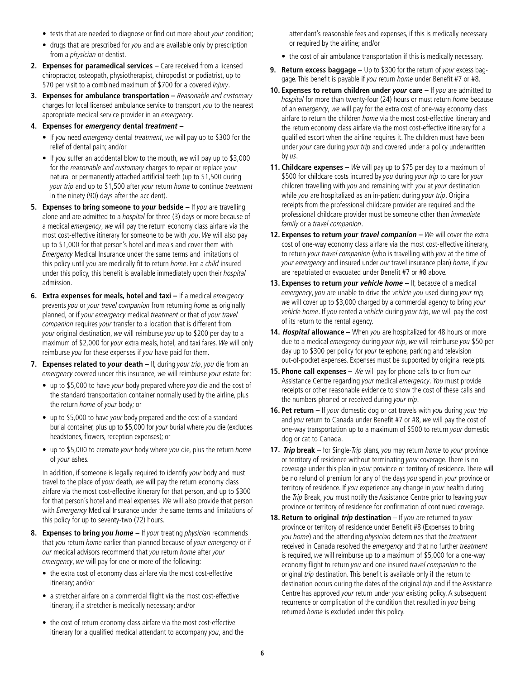- tests that are needed to diagnose or find out more about your condition;
- drugs that are prescribed for you and are available only by prescription from a physician or dentist.
- **2. Expenses for paramedical services** Care received from a licensed chiropractor, osteopath, physiotherapist, chiropodist or podiatrist, up to \$70 per visit to a combined maximum of \$700 for a covered injury.
- **3. Expenses for ambulance transportation** Reasonable and customary charges for local licensed ambulance service to transport you to the nearest appropriate medical service provider in an emergency.
- **4. Expenses for emergency dental treatment** 
	- If you need emergency dental treatment, we will pay up to \$300 for the relief of dental pain; and/or
	- for the reasonable and customary charges to repair or replace your • If you suffer an accidental blow to the mouth, we will pay up to \$3,000 natural or permanently attached artificial teeth (up to \$1,500 during your trip and up to \$1,500 after your return home to continue treatment in the ninety (90) days after the accident).
- **5. Expenses to bring someone to** *your* **bedside** If *you* are travelling alone and are admitted to a *hospital* for three (3) days or more because of a medical emergency, we will pay the return economy class airfare via the most cost-effective itinerary for someone to be with you. We will also pay up to \$1,000 for that person's hotel and meals and cover them with Emergency Medical Insurance under the same terms and limitations of this policy until you are medically fit to return home. For a child insured under this policy, this benefit is available immediately upon their hospital admission.
- prevents you or your travel companion from returning home as originally planned, or if your emergency medical treatment or that of your travel **6. Extra expenses for meals, hotel and taxi - If a medical emergency** companion requires your transfer to a location that is different from your original destination, we will reimburse you up to \$200 per day to a maximum of \$2,000 for your extra meals, hotel, and taxi fares. We will only reimburse you for these expenses if you have paid for them.
- **7. Expenses related to** *your* **death** If, during your trip, you die from an emergency covered under this insurance, we will reimburse your estate for:
	- up to \$5,000 to have your body prepared where you die and the cost of the standard transportation container normally used by the airline, plus the return home of your body; or
	- up to \$5,000 to have your body prepared and the cost of a standard burial container, plus up to \$5,000 for your burial where you die (excludes headstones, flowers, reception expenses); or
	- up to \$5,000 to cremate your body where you die, plus the return home of your ashes.

In addition, if someone is legally required to identify your body and must travel to the place of your death, we will pay the return economy class airfare via the most cost-effective itinerary for that person, and up to \$300 for that person's hotel and meal expenses. We will also provide that person with *Emergency* Medical Insurance under the same terms and limitations of this policy for up to seventy-two (72) hours.

- our medical advisors recommend that you return home after your 8. Expenses to bring *you home* - If *your* treating *physician* recommends that you return home earlier than planned because of your emergency or if emergency, we will pay for one or more of the following:
	- the extra cost of economy class airfare via the most cost-effective itinerary; and/or
	- a stretcher airfare on a commercial fight via the most cost-effective itinerary, if a stretcher is medically necessary; and/or
	- the cost of return economy class airfare via the most cost-effective itinerary for a qualified medical attendant to accompany you, and the

attendant's reasonable fees and expenses, if this is medically necessary or required by the airline; and/or

- the cost of air ambulance transportation if this is medically necessary.
- **9. Return excess baggage** Up to \$300 for the return of your excess baggage. This benefit is payable if you return home under Benefit #7 or #8.
- **10. Expenses to return children under** *your* **care If you are admitted to** hospital for more than twenty-four (24) hours or must return home because of an emergency, we will pay for the extra cost of one-way economy class airfare to return the children home via the most cost-effective itinerary and the return economy class airfare via the most cost-effective itinerary for a qualifed escort when the airline requires it. The children must have been under your care during your trip and covered under a policy underwritten by us.
- while you are hospitalized as an in-patient during your trip. Original **11. Childcare expenses –** We will pay up to \$75 per day to a maximum of \$500 for childcare costs incurred by you during your trip to care for your children travelling with you and remaining with you at your destination receipts from the professional childcare provider are required and the professional childcare provider must be someone other than immediate family or a travel companion.
- **12. Expenses to return** *your travel companion* We will cover the extra to return *your travel companion* (who is travelling with *you* at the time of cost of one-way economy class airfare via the most cost-effective itinerary, your emergency and insured under our travel insurance plan) home, if you are repatriated or evacuated under Benefit #7 or #8 above.
- **13. Expenses to return** *your vehicle home* If, because of a medical emergency, you are unable to drive the vehicle you used during your trip, we will cover up to \$3,000 charged by a commercial agency to bring your vehicle home. If you rented a vehicle during your trip, we will pay the cost of its return to the rental agency.
- **14. Hospital allowance** When you are hospitalized for 48 hours or more due to a medical *emergency* during *your trip, we will reimburse you* \$50 per day up to \$300 per policy for your telephone, parking and television out-of-pocket expenses. Expenses must be supported by original receipts.
- **15. Phone call expenses** We will pay for phone calls to or from our Assistance Centre regarding your medical emergency. You must provide receipts or other reasonable evidence to show the cost of these calls and the numbers phoned or received during your trip.
- **16. Pet return –** If your domestic dog or cat travels with you during your trip and you return to Canada under Benefit #7 or #8, we will pay the cost of one-way transportation up to a maximum of \$500 to return your domestic dog or cat to Canada.
- **17. Trip break**  for Single-Trip plans, you may return home to your province or territory of residence without terminating your coverage. There is no coverage under this plan in your province or territory of residence. There will be no refund of premium for any of the days you spend in your province or territory of residence. If you experience any change in your health during the Trip Break, you must notify the Assistance Centre prior to leaving your province or territory of residence for confrmation of continued coverage.
- **18. Return to original** *trip* **destination** If you are returned to your province or territory of residence under Beneft #8 (Expenses to bring you home) and the attending physician determines that the treatment received in Canada resolved the emergency and that no further treatment is required, we will reimburse up to a maximum of \$5,000 for a one-way economy flight to return you and one insured travel companion to the original trip destination. This benefit is available only if the return to destination occurs during the dates of the original trip and if the Assistance Centre has approved your return under your existing policy. A subsequent recurrence or complication of the condition that resulted in you being returned home is excluded under this policy.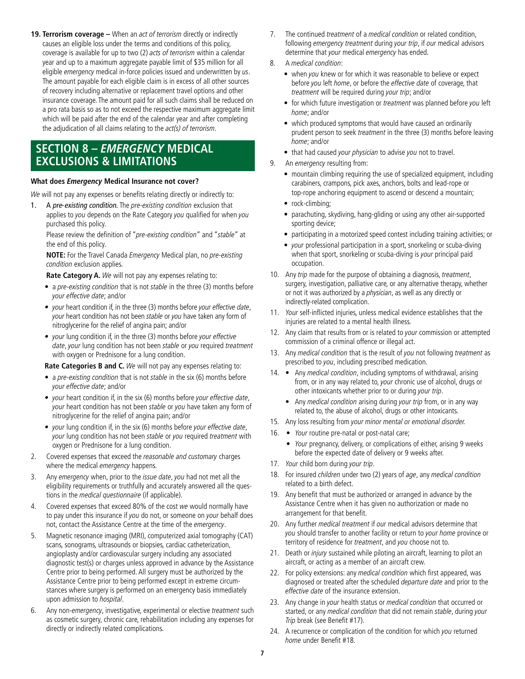**19. Terrorism coverage –** When an act of terrorism directly or indirectly causes an eligible loss under the terms and conditions of this policy, coverage is available for up to two (2) acts of terrorism within a calendar year and up to a maximum aggregate payable limit of \$35 million for all eligible *emergency* medical in-force policies issued and underwritten by us. The amount payable for each eligible claim is in excess of all other sources of recovery including alternative or replacement travel options and other insurance coverage. The amount paid for all such claims shall be reduced on a pro rata basis so as to not exceed the respective maximum aggregate limit which will be paid after the end of the calendar year and after completing the adjudication of all claims relating to the act(s) of terrorism.

## **SECTION 8 – EMERGENCY MEDICAL EXCLUSIONS & LIMITATIONS**

#### **What does Emergency Medical Insurance not cover?**

We will not pay any expenses or benefits relating directly or indirectly to:

A pre-existing condition. The pre-existing condition exclusion that applies to you depends on the Rate Category you qualified for when you purchased this policy.

Please review the definition of "pre-existing condition" and "stable" at the end of this policy.

**NOTE:** For the Travel Canada Emergency Medical plan, no pre-existing condition exclusion applies.

**Rate Category A.** We will not pay any expenses relating to:

- a pre-existing condition that is not stable in the three (3) months before your effective date; and/or
- *your* heart condition if, in the three (3) months before *your effective date*, your heart condition has not been stable or you have taken any form of nitroglycerine for the relief of angina pain; and/or
- *your* lung condition if, in the three (3) months before *your effective* date, your lung condition has not been stable or you required treatment with oxygen or Prednisone for a lung condition.

**Rate Categories B and C.** We will not pay any expenses relating to:

- a pre-existing condition that is not stable in the six (6) months before your effective date; and/or
- *your* heart condition if, in the six (6) months before *your effective date*, your heart condition has not been stable or you have taken any form of nitroglycerine for the relief of angina pain; and/or
- your lung condition if, in the six (6) months before your effective date, your lung condition has not been stable or you required treatment with oxygen or Prednisone for a lung condition.
- 2. Covered expenses that exceed the reasonable and customary charges where the medical emergency happens.
- 3. Any emergency when, prior to the issue date, you had not met all the eligibility requirements or truthfully and accurately answered all the questions in the medical questionnaire (if applicable).
- 4. Covered expenses that exceed 80% of the cost we would normally have to pay under this insurance if you do not, or someone on your behalf does not, contact the Assistance Centre at the time of the emergency.
- $5$ scans, sonograms, ultrasounds or biopsies, cardiac catheterization, scans, sonograms, ultrasounds or biopsies, cardiac catheterization,<br>angioplasty and/or cardiovascular surgery including any associated 5. Magnetic resonance imaging (MRI), computerized axial tomography (CAT) diagnostic test(s) or charges unless approved in advance by the Assistance Centre prior to being performed. All surgery must be authorized by the Assistance Centre prior to being performed except in extreme circumstances where surgery is performed on an emergency basis immediately upon admission to hospital.
- ნ. Any non-emergency, investigative, experimental or elective treatment such as cosmetic surgery, chronic care, rehabilitation including any expenses for directly or indirectly related complications.
- $7<sub>1</sub>$ The continued *treatment* of a *medical condition* or related condition, following emergency treatment during your trip, if our medical advisors determine that your medical emergency has ended.
- 8. A medical condition:
	- when you knew or for which it was reasonable to believe or expect before you left home, or before the effective date of coverage, that treatment will be required during your trip; and/or
	- for which future investigation or treatment was planned before you left home; and/or
	- which produced symptoms that would have caused an ordinarily prudent person to seek treatment in the three (3) months before leaving home; and/or
	- that had caused your physician to advise you not to travel.
- 9. An emergency resulting from:
	- • mountain climbing requiring the use of specialized equipment, including carabiners, crampons, pick axes, anchors, bolts and lead-rope or top-rope anchoring equipment to ascend or descend a mountain;
	- rock-climbing;
	- • parachuting, skydiving, hang-gliding or using any other air-supported sporting device;
	- participating in a motorized speed contest including training activities; or
	- *your* professional participation in a sport, snorkeling or scuba-diving when that sport, snorkeling or scuba-diving is your principal paid occupation.
- 10. Any trip made for the purpose of obtaining a diagnosis, treatment, surgery, investigation, palliative care, or any alternative therapy, whether or not it was authorized by a physician, as well as any directly or indirectly-related complication.
- 11. Your self-inflicted injuries, unless medical evidence establishes that the injuries are related to a mental health illness.
- 12. Any claim that results from or is related to your commission or attempted commission of a criminal offence or illegal act.
- 13. Any medical condition that is the result of you not following treatment as prescribed to you, including prescribed medication.
- 14. Any *medical condition*, including symptoms of withdrawal, arising from, or in any way related to, your chronic use of alcohol, drugs or other intoxicants whether prior to or during your trip.
	- Any *medical condition* arising during your trip from, or in any way related to, the abuse of alcohol, drugs or other intoxicants.
- 15. Any loss resulting from your minor mental or emotional disorder.
- 16. Your routine pre-natal or post-natal care;
	- *Your* pregnancy, delivery, or complications of either, arising 9 weeks before the expected date of delivery or 9 weeks after.
- 17. Your child born during your trip.
- 18. For insured children under two (2) years of age, any medical condition related to a birth defect.
- 19. Any benefit that must be authorized or arranged in advance by the Assistance Centre when it has given no authorization or made no arrangement for that benefit.
- 20. Any further medical treatment if our medical advisors determine that you should transfer to another facility or return to your home province or territory of residence for treatment, and you choose not to.
- 21. Death or *injury* sustained while piloting an aircraft, learning to pilot an aircraft, or acting as a member of an aircraft crew.
- 22. For policy extensions: any *medical condition* which first appeared, was diagnosed or treated after the scheduled departure date and prior to the effective date of the insurance extension.
- 23. Any change in your health status or medical condition that occurred or started, or any medical condition that did not remain stable, during your Trip break (see Benefit #17).
- 24. A recurrence or complication of the condition for which you returned home under Benefit #18.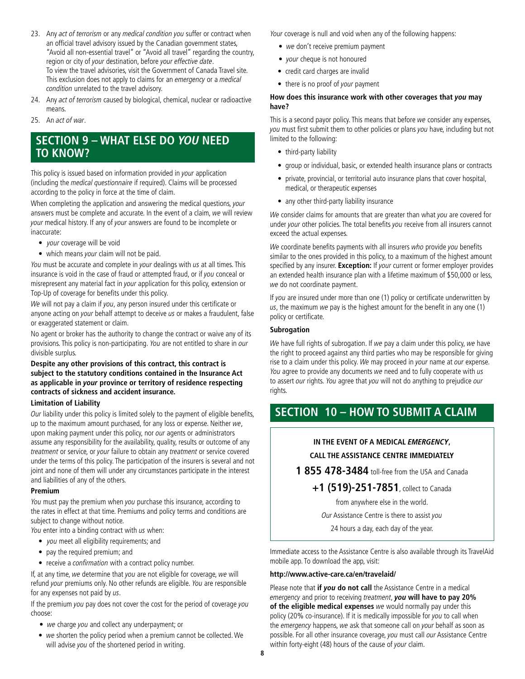- 23. Any act of terrorism or any medical condition you suffer or contract when an official travel advisory issued by the Canadian government states, "Avoid all non-essential travel" or "Avoid all travel" regarding the country, region or city of your destination, before your effective date. To view the travel advisories, visit the Government of Canada Travel site. This exclusion does not apply to claims for an emergency or a medical condition unrelated to the travel advisory.
- 24. Any act of terrorism caused by biological, chemical, nuclear or radioactive means.
- 25. An act of war.

## **SECTION 9 – WHAT ELSE DO YOU NEED TO KNOW?**

This policy is issued based on information provided in your application (including the medical questionnaire if required). Claims will be processed according to the policy in force at the time of claim.

When completing the application and answering the medical questions, your answers must be complete and accurate. In the event of a claim, we will review your medical history. If any of your answers are found to be incomplete or inaccurate:

- your coverage will be void
- which means your claim will not be paid.

You must be accurate and complete in your dealings with us at all times. This insurance is void in the case of fraud or attempted fraud, or if you conceal or misrepresent any material fact in your application for this policy, extension or Top-Up of coverage for benefits under this policy.

We will not pay a claim if you, any person insured under this certificate or anyone acting on your behalf attempt to deceive us or makes a fraudulent, false or exaggerated statement or claim.

No agent or broker has the authority to change the contract or waive any of its provisions. This policy is non-participating. You are not entitled to share in our divisible surplus.

#### **Despite any other provisions of this contract, this contract is subject to the statutory conditions contained in the Insurance Act as applicable in your province or territory of residence respecting contracts of sickness and accident insurance.**

#### **Limitation of Liability**

Our liability under this policy is limited solely to the payment of eligible benefits, up to the maximum amount purchased, for any loss or expense. Neither we, upon making payment under this policy, nor our agents or administrators assume any responsibility for the availability, quality, results or outcome of any treatment or service, or your failure to obtain any treatment or service covered under the terms of this policy. The participation of the insurers is several and not joint and none of them will under any circumstances participate in the interest and liabilities of any of the others.

#### **Premium**

You must pay the premium when you purchase this insurance, according to the rates in effect at that time. Premiums and policy terms and conditions are subject to change without notice.

You enter into a binding contract with us when:

- you meet all eligibility requirements; and
- pay the required premium; and
- receive a *confirmation* with a contract policy number.

If, at any time, we determine that you are not eligible for coverage, we will refund your premiums only. No other refunds are eligible. You are responsible for any expenses not paid by us.

If the premium you pay does not cover the cost for the period of coverage you choose:

- we charge you and collect any underpayment; or
- we shorten the policy period when a premium cannot be collected. We will advise you of the shortened period in writing.

Your coverage is null and void when any of the following happens:

- we don't receive premium payment
- your cheque is not honoured
- credit card charges are invalid
- there is no proof of your payment

#### **How does this insurance work with other coverages that you may have?**

This is a second payor policy. This means that before we consider any expenses, you must first submit them to other policies or plans you have, including but not limited to the following:

- third-party liability
- group or individual, basic, or extended health insurance plans or contracts
- private, provincial, or territorial auto insurance plans that cover hospital, medical, or therapeutic expenses
- any other third-party liability insurance

We consider claims for amounts that are greater than what you are covered for under your other policies. The total benefits you receive from all insurers cannot exceed the actual expenses.

We coordinate benefits payments with all insurers who provide you benefits similar to the ones provided in this policy, to a maximum of the highest amount specifed by any insurer. **Exception:** If your current or former employer provides an extended health insurance plan with a lifetime maximum of \$50,000 or less, we do not coordinate payment.

If you are insured under more than one (1) policy or certificate underwritten by us, the maximum we pay is the highest amount for the benefit in any one  $(1)$ policy or certificate.

#### **Subrogation**

We have full rights of subrogation. If we pay a claim under this policy, we have the right to proceed against any third parties who may be responsible for giving rise to a claim under this policy. We may proceed in your name at our expense. You agree to provide any documents we need and to fully cooperate with us to assert our rights. You agree that you will not do anything to prejudice our rights.

## **SECTION 10 – HOW TO SUBMIT A CLAIM**

### **IN THE EVENT OF A MEDICAL EMERGENCY, CALL THE ASSISTANCE CENTRE IMMEDIATELY**

**1 855 478-3484** toll-free from the USA and Canada

**+1 (519)-251-7851**, collect to Canada

from anywhere else in the world.

Our Assistance Centre is there to assist you

24 hours a day, each day of the year.

Immediate access to the Assistance Centre is also available through its TravelAid mobile app. To download the app, visit:

#### **<http://www.active-care.ca/en/travelaid>/**

Please note that **if you do not call** the Assistance Centre in a medical emergency and prior to receiving treatment, **you will have to pay 20% of the eligible medical expenses** we would normally pay under this policy (20% co-insurance). If it is medically impossible for you to call when the emergency happens, we ask that someone call on your behalf as soon as possible. For all other insurance coverage, you must call our Assistance Centre within forty-eight (48) hours of the cause of your claim.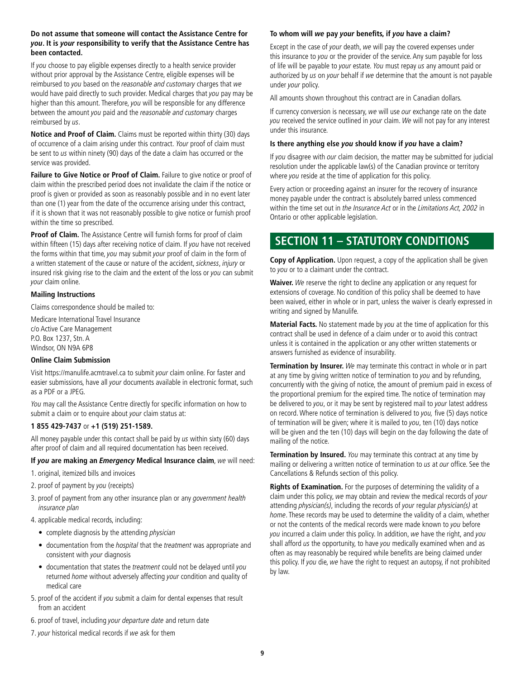#### **Do not assume that someone will contact the Assistance Centre for you. It is your responsibility to verify that the Assistance Centre has been contacted.**

reimbursed to you based on the reasonable and customary charges that we higher than this amount. Therefore, you will be responsible for any difference between the amount you paid and the reasonable and customary charges If you choose to pay eligible expenses directly to a health service provider without prior approval by the Assistance Centre, eligible expenses will be would have paid directly to such provider. Medical charges that you pay may be reimbursed by us.

**Notice and Proof of Claim.** Claims must be reported within thirty (30) days of occurrence of a claim arising under this contract. Your proof of claim must be sent to us within ninety (90) days of the date a claim has occurred or the service was provided.

Failure to Give Notice or Proof of Claim. Failure to give notice or proof of claim within the prescribed period does not invalidate the claim if the notice or proof is given or provided as soon as reasonably possible and in no event later than one (1) year from the date of the occurrence arising under this contract, if it is shown that it was not reasonably possible to give notice or furnish proof within the time so prescribed.

**Proof of Claim.** The Assistance Centre will furnish forms for proof of claim within fifteen (15) days after receiving notice of claim. If you have not received the forms within that time, you may submit your proof of claim in the form of a written statement of the cause or nature of the accident, sickness, injury or insured risk giving rise to the claim and the extent of the loss or you can submit your claim online.

#### **Mailing Instructions**

Claims correspondence should be mailed to:

 P.O. Box 1237, Stn. A Medicare International Travel Insurance c/o Active Care Management Windsor, ON N9A 6P8

#### **Online Claim Submission**

Visit<https://manulife.acmtravel.ca>to submit your claim online. For faster and easier submissions, have all your documents available in electronic format, such as a PDF or a JPEG.

You may call the Assistance Centre directly for specific information on how to submit a claim or to enquire about your claim status at:

#### **1 855 429-7437** or **+1 (519) 251-1589.**

All money payable under this contact shall be paid by  $us$  within sixty (60) days after proof of claim and all required documentation has been received.

#### **If you are making an Emergency Medical Insurance claim**, we will need:

- 1. original, itemized bills and invoices
- 2. proof of payment by you (receipts)
- 3. proof of payment from any other insurance plan or any *government health* insurance plan
- 4. applicable medical records, including:
	- complete diagnosis by the attending physician
	- documentation from the *hospital* that the *treatment* was appropriate and consistent with your diagnosis
	- documentation that states the *treatment* could not be delayed until you returned home without adversely affecting your condition and quality of medical care
- 5. proof of the accident if you submit a claim for dental expenses that result from an accident
- 6. proof of travel, including your departure date and return date
- 7. your historical medical records if we ask for them

#### **To whom will we pay your benefts, if you have a claim?**

Except in the case of your death, we will pay the covered expenses under this insurance to you or the provider of the service. Any sum payable for loss of life will be payable to your estate. You must repay us any amount paid or authorized by us on your behalf if we determine that the amount is not payable under your policy.

All amounts shown throughout this contract are in Canadian dollars.

If currency conversion is necessary, we will use our exchange rate on the date you received the service outlined in your claim. We will not pay for any interest under this insurance.

#### **Is there anything else you should know if you have a claim?**

If you disagree with our claim decision, the matter may be submitted for judicial resolution under the applicable law(s) of the Canadian province or territory where you reside at the time of application for this policy.

Every action or proceeding against an insurer for the recovery of insurance money payable under the contract is absolutely barred unless commenced within the time set out in the Insurance Act or in the Limitations Act, 2002 in Ontario or other applicable legislation.

## **SECTION 11 – STATUTORY CONDITIONS**

**Copy of Application.** Upon request, a copy of the application shall be given to you or to a claimant under the contract.

**Waiver.** We reserve the right to decline any application or any request for extensions of coverage. No condition of this policy shall be deemed to have been waived, either in whole or in part, unless the waiver is clearly expressed in writing and signed by Manulife.

**Material Facts.** No statement made by you at the time of application for this contract shall be used in defence of a claim under or to avoid this contract unless it is contained in the application or any other written statements or answers furnished as evidence of insurability.

**Termination by Insurer.** We may terminate this contract in whole or in part at any time by giving written notice of termination to you and by refunding, concurrently with the giving of notice, the amount of premium paid in excess of the proportional premium for the expired time. The notice of termination may be delivered to you, or it may be sent by registered mail to your latest address on record. Where notice of termination is delivered to  $you$ , five (5) days notice of termination will be given; where it is mailed to you, ten (10) days notice will be given and the ten (10) days will begin on the day following the date of mailing of the notice.

**Termination by Insured.** You may terminate this contract at any time by mailing or delivering a written notice of termination to us at our office. See the Cancellations & Refunds section of this policy.

**Rights of Examination.** For the purposes of determining the validity of a claim under this policy, we may obtain and review the medical records of your attending physician(s), including the records of your regular physician(s) at home. These records may be used to determine the validity of a claim, whether or not the contents of the medical records were made known to you before you incurred a claim under this policy. In addition, we have the right, and you shall afford us the opportunity, to have you medically examined when and as often as may reasonably be required while benefits are being claimed under this policy. If you die, we have the right to request an autopsy, if not prohibited by law.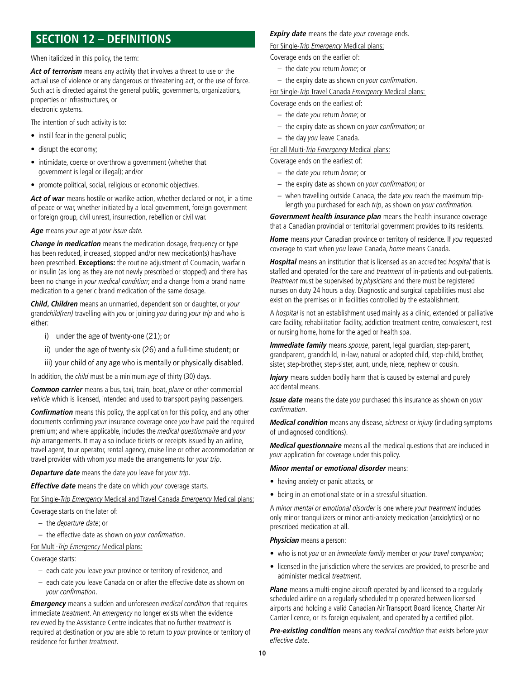## **SECTION 12 – DEFINITIONS**

When italicized in this policy, the term:

 **Act of terrorism** means any activity that involves a threat to use or the actual use of violence or any dangerous or threatening act, or the use of force. Such act is directed against the general public, governments, organizations, properties or infrastructures, or electronic systems.

The intention of such activity is to:

- instill fear in the general public;
- disrupt the economy;
- intimidate, coerce or overthrow a government (whether that government is legal or illegal); and/or
- promote political, social, religious or economic objectives.

 **Act of war** means hostile or warlike action, whether declared or not, in a time of peace or war, whether initiated by a local government, foreign government or foreign group, civil unrest, insurrection, rebellion or civil war.

**Age** means your age at your issue date.

 **Change in medication** means the medication dosage, frequency or type been no change in your medical condition; and a change from a brand name has been reduced, increased, stopped and/or new medication(s) has/have been prescribed. **Exceptions:** the routine adjustment of Coumadin, warfarin or insulin (as long as they are not newly prescribed or stopped) and there has medication to a generic brand medication of the same dosage.

**Child, Children** means an unmarried, dependent son or daughter, or your grandchild(ren) travelling with you or joining you during your trip and who is either:

- i) under the age of twenty-one (21); or
- ii) under the age of twenty-six (26) and a full-time student; or
- iii) your child of any age who is mentally or physically disabled.

In addition, the *child* must be a minimum age of thirty (30) days.

**Common carrier** means a bus, taxi, train, boat, plane or other commercial vehicle which is licensed, intended and used to transport paying passengers.

**Confirmation** means this policy, the application for this policy, and any other documents confirming your insurance coverage once you have paid the required premium; and where applicable, includes the medical questionnaire and your trip arrangements. It may also include tickets or receipts issued by an airline, travel agent, tour operator, rental agency, cruise line or other accommodation or travel provider with whom you made the arrangements for your trip.

**Departure date** means the date you leave for your trip.

 **Effective date** means the date on which your coverage starts.

For Single-Trip Emergency Medical and Travel Canada Emergency Medical plans: Coverage starts on the later of:

- the departure date; or
- the effective date as shown on your confrmation.

#### For Multi-Trip Emergency Medical plans:

#### Coverage starts:

- each date you leave your province or territory of residence, and
- each date you leave Canada on or after the effective date as shown on your confirmation.

**Emergency** means a sudden and unforeseen medical condition that requires immediate *treatment*. An *emergency* no longer exists when the evidence reviewed by the Assistance Centre indicates that no further treatment is required at destination or you are able to return to your province or territory of residence for further treatment.

#### **Expiry date** means the date your coverage ends.

For Single-Trip Emergency Medical plans:

Coverage ends on the earlier of:

- the date you return home; or
- the expiry date as shown on your confirmation.

For Single-Trip Travel Canada Emergency Medical plans:

Coverage ends on the earliest of:

- the date you return home; or
- the expiry date as shown on your confrmation; or
- the day you leave Canada.

For all Multi-Trip Emergency Medical plans:

Coverage ends on the earliest of:

- the date you return home; or
- the expiry date as shown on your confrmation; or
- $-$  when travelling outside Canada, the date you reach the maximum triplength you purchased for each trip, as shown on your confirmation.

 **Government health insurance plan** means the health insurance coverage that a Canadian provincial or territorial government provides to its residents.

**Home** means your Canadian province or territory of residence. If you requested coverage to start when you leave Canada, home means Canada.

**Hospital** means an institution that is licensed as an accredited hospital that is staffed and operated for the care and treatment of in-patients and out-patients. Treatment must be supervised by *physicians* and there must be registered nurses on duty 24 hours a day. Diagnostic and surgical capabilities must also exist on the premises or in facilities controlled by the establishment.

A hospital is not an establishment used mainly as a clinic, extended or palliative care facility, rehabilitation facility, addiction treatment centre, convalescent, rest or nursing home, home for the aged or health spa.

 **Immediate family** means spouse, parent, legal guardian, step-parent, grandparent, grandchild, in-law, natural or adopted child, step-child, brother, sister, step-brother, step-sister, aunt, uncle, niece, nephew or cousin.

**Injury** means sudden bodily harm that is caused by external and purely accidental means.

**Issue date** means the date you purchased this insurance as shown on your confirmation.

 **Medical condition** means any disease, sickness or injury (including symptoms of undiagnosed conditions).

**Medical questionnaire** means all the medical questions that are included in your application for coverage under this policy.

#### **Minor mental or emotional disorder** means:

- having anxiety or panic attacks, or
- being in an emotional state or in a stressful situation.

A minor mental or emotional disorder is one where your treatment includes only minor tranquilizers or minor anti-anxiety medication (anxiolytics) or no prescribed medication at all.

#### **Physician** means a person:

- who is not you or an immediate family member or your travel companion;
- licensed in the jurisdiction where the services are provided, to prescribe and administer medical treatment.

**Plane** means a multi-engine aircraft operated by and licensed to a regularly scheduled airline on a regularly scheduled trip operated between licensed airports and holding a valid Canadian Air Transport Board licence, Charter Air Carrier licence, or its foreign equivalent, and operated by a certifed pilot.

 **Pre-existing condition** means any medical condition that exists before your effective date.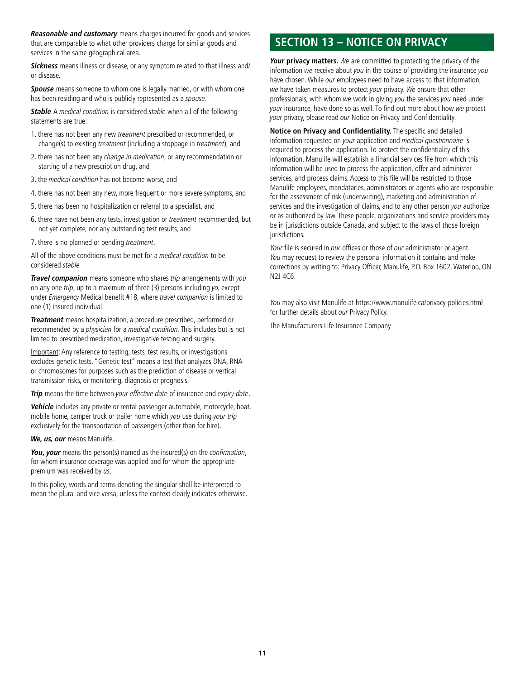**Reasonable and customary** means charges incurred for goods and services that are comparable to what other providers charge for similar goods and services in the same geographical area.

**Sickness** means illness or disease, or any symptom related to that illness and/ or disease.

**Spouse** means someone to whom one is legally married, or with whom one has been residing and who is publicly represented as a spouse.

**Stable** A medical condition is considered stable when all of the following statements are true:

- 1. there has not been any new treatment prescribed or recommended, or change(s) to existing *treatment* (including a stoppage in *treatment*), and
- 2. there has not been any *change in medication*, or any recommendation or starting of a new prescription drug, and
- 3. the medical condition has not become worse, and
- 4. there has not been any new, more frequent or more severe symptoms, and
- 5. there has been no hospitalization or referral to a specialist, and
- 6. there have not been any tests, investigation or treatment recommended, but not yet complete, nor any outstanding test results, and
- 7. there is no planned or pending treatment.

All of the above conditions must be met for a *medical condition* to be considered stable

**Travel companion** means someone who shares trip arrangements with you on any one trip, up to a maximum of three (3) persons including yo, except under Emergency Medical benefit #18, where travel companion is limited to one (1) insured individual.

**Treatment** means hospitalization, a procedure prescribed, performed or recommended by a physician for a medical condition. This includes but is not limited to prescribed medication, investigative testing and surgery.

Important: Any reference to testing, tests, test results, or investigations excludes genetic tests. "Genetic test" means a test that analyzes DNA, RNA or chromosomes for purposes such as the prediction of disease or vertical transmission risks, or monitoring, diagnosis or prognosis.

**Trip** means the time between your effective date of insurance and expiry date.

mobile home, camper truck or trailer home which you use during your trip **Vehicle** includes any private or rental passenger automobile, motorcycle, boat, exclusively for the transportation of passengers (other than for hire).

**We, us, our** means Manulife.

You, your means the person(s) named as the insured(s) on the *confirmation*, for whom insurance coverage was applied and for whom the appropriate premium was received by us.

In this policy, words and terms denoting the singular shall be interpreted to mean the plural and vice versa, unless the context clearly indicates otherwise.

## **SECTION 13 – NOTICE ON PRIVACY**

**Your privacy matters.** We are committed to protecting the privacy of the information we receive about you in the course of providing the insurance you have chosen. While our employees need to have access to that information, we have taken measures to protect your privacy. We ensure that other professionals, with whom we work in giving you the services you need under your insurance, have done so as well. To find out more about how we protect your privacy, please read our Notice on Privacy and Confidentiality.

Notice on Privacy and Confidentiality. The specific and detailed information requested on your application and medical questionnaire is required to process the application. To protect the confdentiality of this information, Manulife will establish a financial services file from which this information will be used to process the application, offer and administer services, and process claims. Access to this fle will be restricted to those Manulife employees, mandataries, administrators or agents who are responsible for the assessment of risk (underwriting), marketing and administration of services and the investigation of claims, and to any other person you authorize or as authorized by law. These people, organizations and service providers may be in jurisdictions outside Canada, and subject to the laws of those foreign jurisdictions.

Your file is secured in our offices or those of our administrator or agent. You may request to review the personal information it contains and make corrections by writing to: Privacy Officer, Manulife, P.O. Box 1602, Waterloo, ON N2J 4C6.

You may also visit Manulife at <https://www.manulife.ca/privacy-policies.html> for further details about our Privacy Policy.

The Manufacturers Life Insurance Company